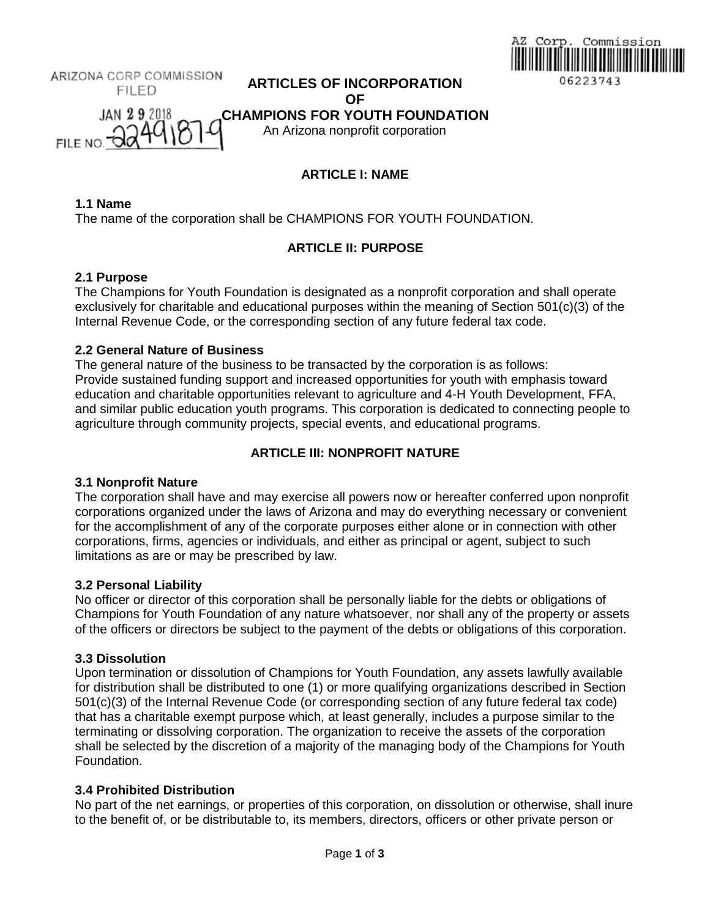

ARIZONA CORP COMMISSION **ARTICLES OF INCORPORATION FILED OF JAN 29 2018 CHAMPIONS FOR YOUTH FOUNDATION** FILE NO. 00 An Arizona nonprofit corporation

# **ARTICLE I: NAME**

**1.1 Name**

The name of the corporation shall be CHAMPIONS FOR YOUTH FOUNDATION.

# **ARTICLE II: PURPOSE**

### **2.1 Purpose**

The Champions for Youth Foundation is designated as a nonprofit corporation and shall operate exclusively for charitable and educational purposes within the meaning of Section 501(c)(3) of the Internal Revenue Code, or the corresponding section of any future federal tax code.

## **2.2 General Nature of Business**

The general nature of the business to be transacted by the corporation is as follows: Provide sustained funding support and increased opportunities for youth with emphasis toward education and charitable opportunities relevant to agriculture and 4-H Youth Development, FFA, and similar public education youth programs. This corporation is dedicated to connecting people to agriculture through community projects, special events, and educational programs.

# **ARTICLE III: NONPROFIT NATURE**

# **3.1 Nonprofit Nature**

The corporation shall have and may exercise all powers now or hereafter conferred upon nonprofit corporations organized under the laws of Arizona and may do everything necessary or convenient for the accomplishment of any of the corporate purposes either alone or in connection with other corporations, firms, agencies or individuals, and either as principal or agent, subject to such limitations as are or may be prescribed by law.

### **3.2 Personal Liability**

No officer or director of this corporation shall be personally liable for the debts or obligations of Champions for Youth Foundation of any nature whatsoever, nor shall any of the property or assets of the officers or directors be subject to the payment of the debts or obligations of this corporation.

### **3.3 Dissolution**

Upon termination or dissolution of Champions for Youth Foundation, any assets lawfully available for distribution shall be distributed to one (1) or more qualifying organizations described in Section 501(c)(3) of the Internal Revenue Code (or corresponding section of any future federal tax code) that has a charitable exempt purpose which, at least generally, includes a purpose similar to the terminating or dissolving corporation. The organization to receive the assets of the corporation shall be selected by the discretion of a majority of the managing body of the Champions for Youth Foundation.

### **3.4 Prohibited Distribution**

No part of the net earnings, or properties of this corporation, on dissolution or otherwise, shall inure to the benefit of, or be distributable to, its members, directors, officers or other private person or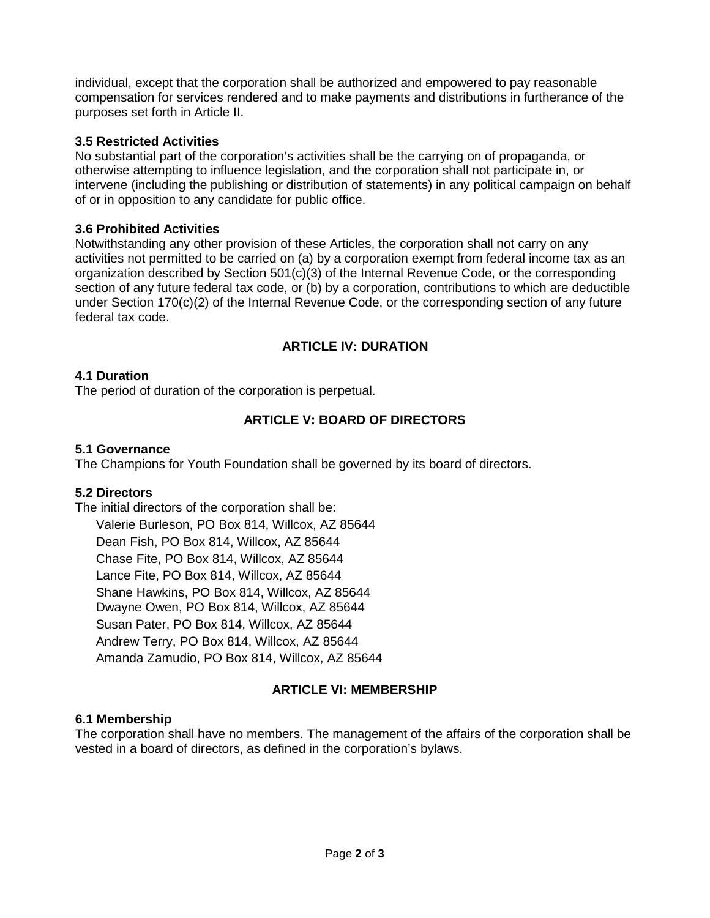individual, except that the corporation shall be authorized and empowered to pay reasonable compensation for services rendered and to make payments and distributions in furtherance of the purposes set forth in Article II.

## **3.5 Restricted Activities**

No substantial part of the corporation's activities shall be the carrying on of propaganda, or otherwise attempting to influence legislation, and the corporation shall not participate in, or intervene (including the publishing or distribution of statements) in any political campaign on behalf of or in opposition to any candidate for public office.

### **3.6 Prohibited Activities**

Notwithstanding any other provision of these Articles, the corporation shall not carry on any activities not permitted to be carried on (a) by a corporation exempt from federal income tax as an organization described by Section 501(c)(3) of the Internal Revenue Code, or the corresponding section of any future federal tax code, or (b) by a corporation, contributions to which are deductible under Section 170(c)(2) of the Internal Revenue Code, or the corresponding section of any future federal tax code.

# **ARTICLE IV: DURATION**

## **4.1 Duration**

The period of duration of the corporation is perpetual.

# **ARTICLE V: BOARD OF DIRECTORS**

### **5.1 Governance**

The Champions for Youth Foundation shall be governed by its board of directors.

### **5.2 Directors**

The initial directors of the corporation shall be: Valerie Burleson, PO Box 814, Willcox, AZ 85644 Dean Fish, PO Box 814, Willcox, AZ 85644 Chase Fite, PO Box 814, Willcox, AZ 85644 Lance Fite, PO Box 814, Willcox, AZ 85644 Shane Hawkins, PO Box 814, Willcox, AZ 85644 Dwayne Owen, PO Box 814, Willcox, AZ 85644 Susan Pater, PO Box 814, Willcox, AZ 85644 Andrew Terry, PO Box 814, Willcox, AZ 85644 Amanda Zamudio, PO Box 814, Willcox, AZ 85644

# **ARTICLE VI: MEMBERSHIP**

### **6.1 Membership**

The corporation shall have no members. The management of the affairs of the corporation shall be vested in a board of directors, as defined in the corporation's bylaws.